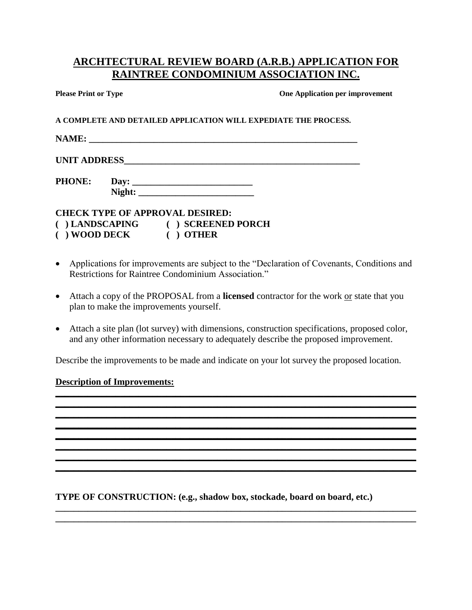## **ARCHTECTURAL REVIEW BOARD (A.R.B.) APPLICATION FOR RAINTREE CONDOMINIUM ASSOCIATION INC.**

**Please Print or Type Cone Application per improvement** 

**A COMPLETE AND DETAILED APPLICATION WILL EXPEDIATE THE PROCESS.**

**NAME: \_\_\_\_\_\_\_\_\_\_\_\_\_\_\_\_\_\_\_\_\_\_\_\_\_\_\_\_\_\_\_\_\_\_\_\_\_\_\_\_\_\_\_\_\_\_\_\_\_\_\_\_\_\_\_\_\_\_**

UNIT ADDRESS

**PHONE: Day: \_\_\_\_\_\_\_\_\_\_\_\_\_\_\_\_\_\_\_\_\_\_\_\_\_\_** Night:

**CHECK TYPE OF APPROVAL DESIRED:**

- **( ) LANDSCAPING ( ) SCREENED PORCH**
- **( ) WOOD DECK ( ) OTHER**
- Applications for improvements are subject to the "Declaration of Covenants, Conditions and Restrictions for Raintree Condominium Association."
- Attach a copy of the PROPOSAL from a **licensed** contractor for the work or state that you plan to make the improvements yourself.
- Attach a site plan (lot survey) with dimensions, construction specifications, proposed color, and any other information necessary to adequately describe the proposed improvement.

Describe the improvements to be made and indicate on your lot survey the proposed location.

**\_\_\_\_\_\_\_\_\_\_\_\_\_\_\_\_\_\_\_\_\_\_\_\_\_\_\_\_\_\_\_\_\_\_\_\_\_\_\_\_\_\_\_\_\_\_\_\_\_\_\_\_\_\_\_\_\_\_\_\_\_\_\_\_\_\_\_\_\_\_\_\_\_\_\_\_\_\_ \_\_\_\_\_\_\_\_\_\_\_\_\_\_\_\_\_\_\_\_\_\_\_\_\_\_\_\_\_\_\_\_\_\_\_\_\_\_\_\_\_\_\_\_\_\_\_\_\_\_\_\_\_\_\_\_\_\_\_\_\_\_\_\_\_\_\_\_\_\_\_\_\_\_\_\_\_\_**

**\_\_\_\_\_\_\_\_\_\_\_\_\_\_\_\_\_\_\_\_\_\_\_\_\_\_\_\_\_\_\_\_\_\_\_\_\_\_\_\_\_\_\_\_\_\_\_\_\_\_\_\_\_\_\_\_\_\_\_\_\_\_\_\_\_\_\_\_\_\_\_\_\_\_\_\_\_\_ \_\_\_\_\_\_\_\_\_\_\_\_\_\_\_\_\_\_\_\_\_\_\_\_\_\_\_\_\_\_\_\_\_\_\_\_\_\_\_\_\_\_\_\_\_\_\_\_\_\_\_\_\_\_\_\_\_\_\_\_\_\_\_\_\_\_\_\_\_\_\_\_\_\_\_\_\_\_ \_\_\_\_\_\_\_\_\_\_\_\_\_\_\_\_\_\_\_\_\_\_\_\_\_\_\_\_\_\_\_\_\_\_\_\_\_\_\_\_\_\_\_\_\_\_\_\_\_\_\_\_\_\_\_\_\_\_\_\_\_\_\_\_\_\_\_\_\_\_\_\_\_\_\_\_\_\_ \_\_\_\_\_\_\_\_\_\_\_\_\_\_\_\_\_\_\_\_\_\_\_\_\_\_\_\_\_\_\_\_\_\_\_\_\_\_\_\_\_\_\_\_\_\_\_\_\_\_\_\_\_\_\_\_\_\_\_\_\_\_\_\_\_\_\_\_\_\_\_\_\_\_\_\_\_\_ \_\_\_\_\_\_\_\_\_\_\_\_\_\_\_\_\_\_\_\_\_\_\_\_\_\_\_\_\_\_\_\_\_\_\_\_\_\_\_\_\_\_\_\_\_\_\_\_\_\_\_\_\_\_\_\_\_\_\_\_\_\_\_\_\_\_\_\_\_\_\_\_\_\_\_\_\_\_**

**\_\_\_\_\_\_\_\_\_\_\_\_\_\_\_\_\_\_\_\_\_\_\_\_\_\_\_\_\_\_\_\_\_\_\_\_\_\_\_\_\_\_\_\_\_\_\_\_\_\_\_\_\_\_\_\_\_\_\_\_\_\_\_\_\_\_\_\_\_\_\_\_\_\_\_\_\_\_ \_\_\_\_\_\_\_\_\_\_\_\_\_\_\_\_\_\_\_\_\_\_\_\_\_\_\_\_\_\_\_\_\_\_\_\_\_\_\_\_\_\_\_\_\_\_\_\_\_\_\_\_\_\_\_\_\_\_\_\_\_\_\_\_\_\_\_\_\_\_\_\_\_\_\_\_\_\_**

## **Description of Improvements:**

**TYPE OF CONSTRUCTION: (e.g., shadow box, stockade, board on board, etc.)**